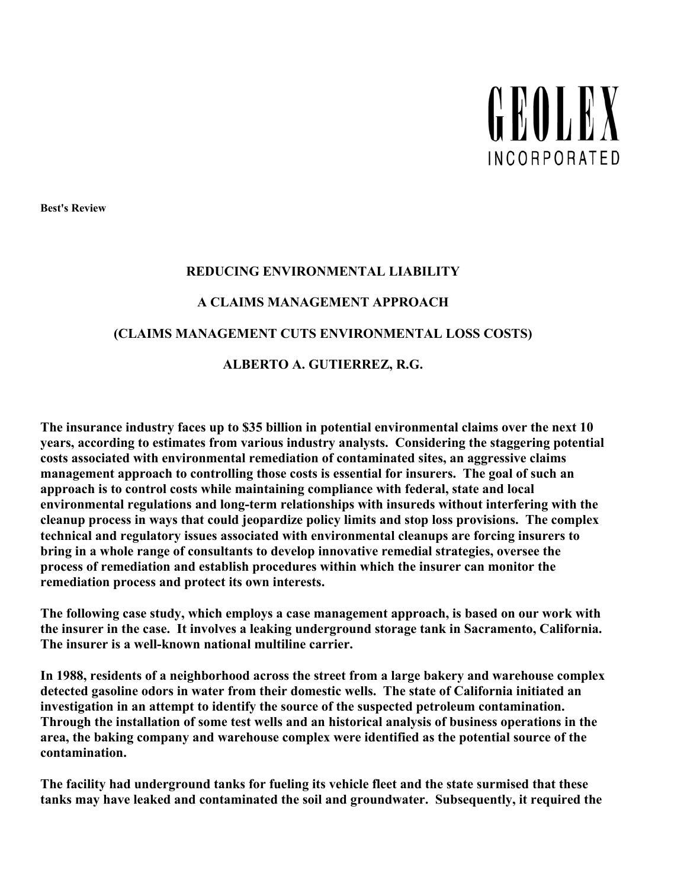

**Best's Review** 

#### **REDUCING ENVIRONMENTAL LIABILITY**

#### **A CLAIMS MANAGEMENT APPROACH**

#### **(CLAIMS MANAGEMENT CUTS ENVIRONMENTAL LOSS COSTS)**

#### **ALBERTO A. GUTIERREZ, R.G.**

**The insurance industry faces up to \$35 billion in potential environmental claims over the next 10 years, according to estimates from various industry analysts. Considering the staggering potential costs associated with environmental remediation of contaminated sites, an aggressive claims management approach to controlling those costs is essential for insurers. The goal of such an approach is to control costs while maintaining compliance with federal, state and local environmental regulations and long-term relationships with insureds without interfering with the cleanup process in ways that could jeopardize policy limits and stop loss provisions. The complex technical and regulatory issues associated with environmental cleanups are forcing insurers to bring in a whole range of consultants to develop innovative remedial strategies, oversee the process of remediation and establish procedures within which the insurer can monitor the remediation process and protect its own interests.** 

**The following case study, which employs a case management approach, is based on our work with the insurer in the case. It involves a leaking underground storage tank in Sacramento, California. The insurer is a well-known national multiline carrier.** 

**In 1988, residents of a neighborhood across the street from a large bakery and warehouse complex detected gasoline odors in water from their domestic wells. The state of California initiated an investigation in an attempt to identify the source of the suspected petroleum contamination. Through the installation of some test wells and an historical analysis of business operations in the area, the baking company and warehouse complex were identified as the potential source of the contamination.** 

**The facility had underground tanks for fueling its vehicle fleet and the state surmised that these tanks may have leaked and contaminated the soil and groundwater. Subsequently, it required the**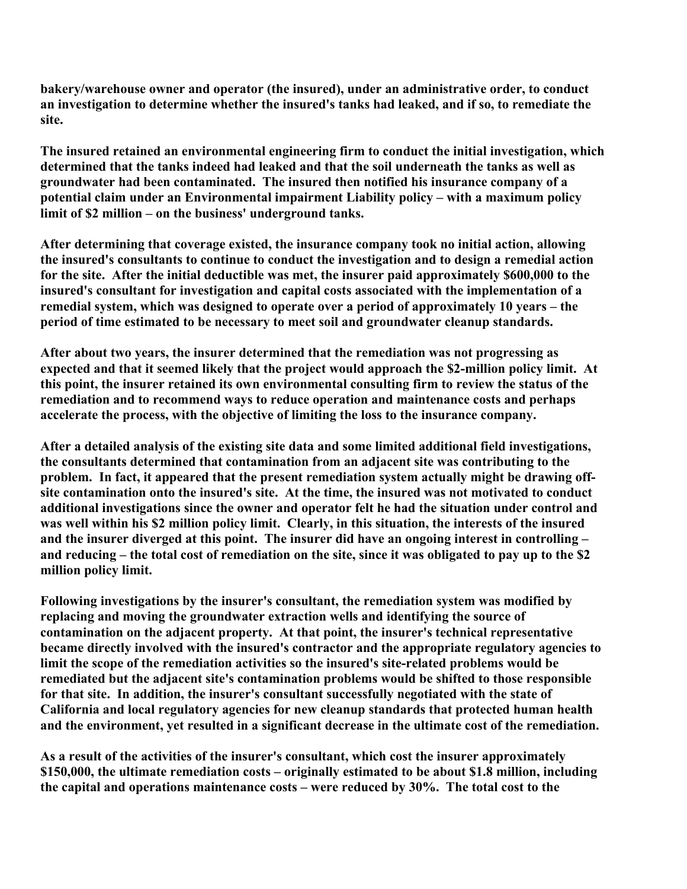**bakery/warehouse owner and operator (the insured), under an administrative order, to conduct an investigation to determine whether the insured's tanks had leaked, and if so, to remediate the site.**

**The insured retained an environmental engineering firm to conduct the initial investigation, which determined that the tanks indeed had leaked and that the soil underneath the tanks as well as groundwater had been contaminated. The insured then notified his insurance company of a potential claim under an Environmental impairment Liability policy – with a maximum policy limit of \$2 million – on the business' underground tanks.** 

**After determining that coverage existed, the insurance company took no initial action, allowing the insured's consultants to continue to conduct the investigation and to design a remedial action for the site. After the initial deductible was met, the insurer paid approximately \$600,000 to the insured's consultant for investigation and capital costs associated with the implementation of a remedial system, which was designed to operate over a period of approximately 10 years – the period of time estimated to be necessary to meet soil and groundwater cleanup standards.** 

**After about two years, the insurer determined that the remediation was not progressing as expected and that it seemed likely that the project would approach the \$2-million policy limit. At this point, the insurer retained its own environmental consulting firm to review the status of the remediation and to recommend ways to reduce operation and maintenance costs and perhaps accelerate the process, with the objective of limiting the loss to the insurance company.** 

**After a detailed analysis of the existing site data and some limited additional field investigations, the consultants determined that contamination from an adjacent site was contributing to the problem. In fact, it appeared that the present remediation system actually might be drawing offsite contamination onto the insured's site. At the time, the insured was not motivated to conduct additional investigations since the owner and operator felt he had the situation under control and was well within his \$2 million policy limit. Clearly, in this situation, the interests of the insured and the insurer diverged at this point. The insurer did have an ongoing interest in controlling – and reducing – the total cost of remediation on the site, since it was obligated to pay up to the \$2 million policy limit.** 

**Following investigations by the insurer's consultant, the remediation system was modified by replacing and moving the groundwater extraction wells and identifying the source of contamination on the adjacent property. At that point, the insurer's technical representative became directly involved with the insured's contractor and the appropriate regulatory agencies to limit the scope of the remediation activities so the insured's site-related problems would be remediated but the adjacent site's contamination problems would be shifted to those responsible for that site. In addition, the insurer's consultant successfully negotiated with the state of California and local regulatory agencies for new cleanup standards that protected human health and the environment, yet resulted in a significant decrease in the ultimate cost of the remediation.** 

**As a result of the activities of the insurer's consultant, which cost the insurer approximately \$150,000, the ultimate remediation costs – originally estimated to be about \$1.8 million, including the capital and operations maintenance costs – were reduced by 30%. The total cost to the**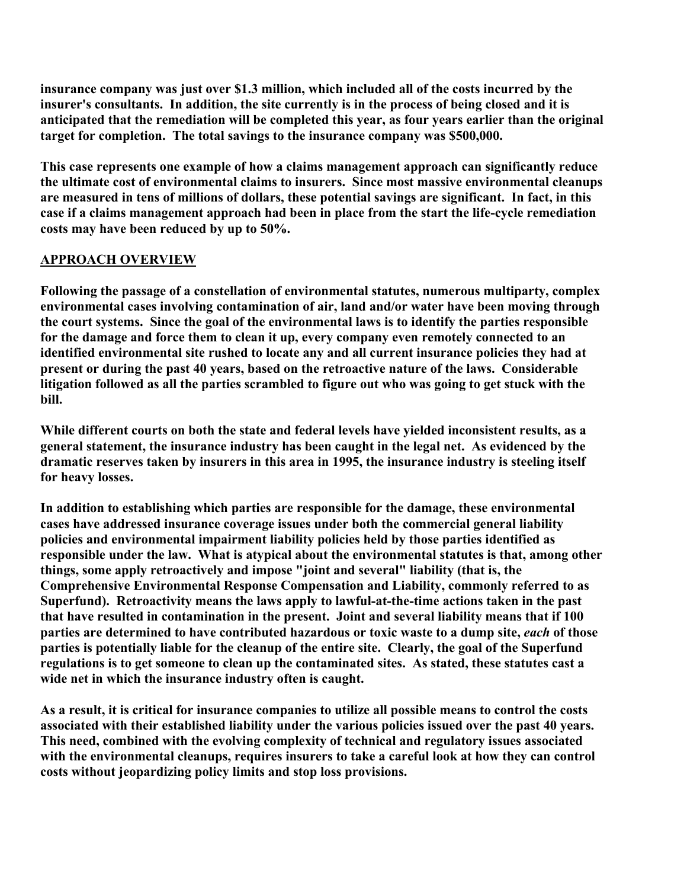**insurance company was just over \$1.3 million, which included all of the costs incurred by the insurer's consultants. In addition, the site currently is in the process of being closed and it is anticipated that the remediation will be completed this year, as four years earlier than the original target for completion. The total savings to the insurance company was \$500,000.** 

**This case represents one example of how a claims management approach can significantly reduce the ultimate cost of environmental claims to insurers. Since most massive environmental cleanups are measured in tens of millions of dollars, these potential savings are significant. In fact, in this case if a claims management approach had been in place from the start the life-cycle remediation costs may have been reduced by up to 50%.** 

### **APPROACH OVERVIEW**

**Following the passage of a constellation of environmental statutes, numerous multiparty, complex environmental cases involving contamination of air, land and/or water have been moving through the court systems. Since the goal of the environmental laws is to identify the parties responsible for the damage and force them to clean it up, every company even remotely connected to an identified environmental site rushed to locate any and all current insurance policies they had at present or during the past 40 years, based on the retroactive nature of the laws. Considerable litigation followed as all the parties scrambled to figure out who was going to get stuck with the bill.** 

**While different courts on both the state and federal levels have yielded inconsistent results, as a general statement, the insurance industry has been caught in the legal net. As evidenced by the dramatic reserves taken by insurers in this area in 1995, the insurance industry is steeling itself for heavy losses.** 

**In addition to establishing which parties are responsible for the damage, these environmental cases have addressed insurance coverage issues under both the commercial general liability policies and environmental impairment liability policies held by those parties identified as responsible under the law. What is atypical about the environmental statutes is that, among other things, some apply retroactively and impose "joint and several" liability (that is, the Comprehensive Environmental Response Compensation and Liability, commonly referred to as Superfund). Retroactivity means the laws apply to lawful-at-the-time actions taken in the past that have resulted in contamination in the present. Joint and several liability means that if 100 parties are determined to have contributed hazardous or toxic waste to a dump site,** *each* **of those parties is potentially liable for the cleanup of the entire site. Clearly, the goal of the Superfund regulations is to get someone to clean up the contaminated sites. As stated, these statutes cast a wide net in which the insurance industry often is caught.** 

**As a result, it is critical for insurance companies to utilize all possible means to control the costs associated with their established liability under the various policies issued over the past 40 years. This need, combined with the evolving complexity of technical and regulatory issues associated with the environmental cleanups, requires insurers to take a careful look at how they can control costs without jeopardizing policy limits and stop loss provisions.**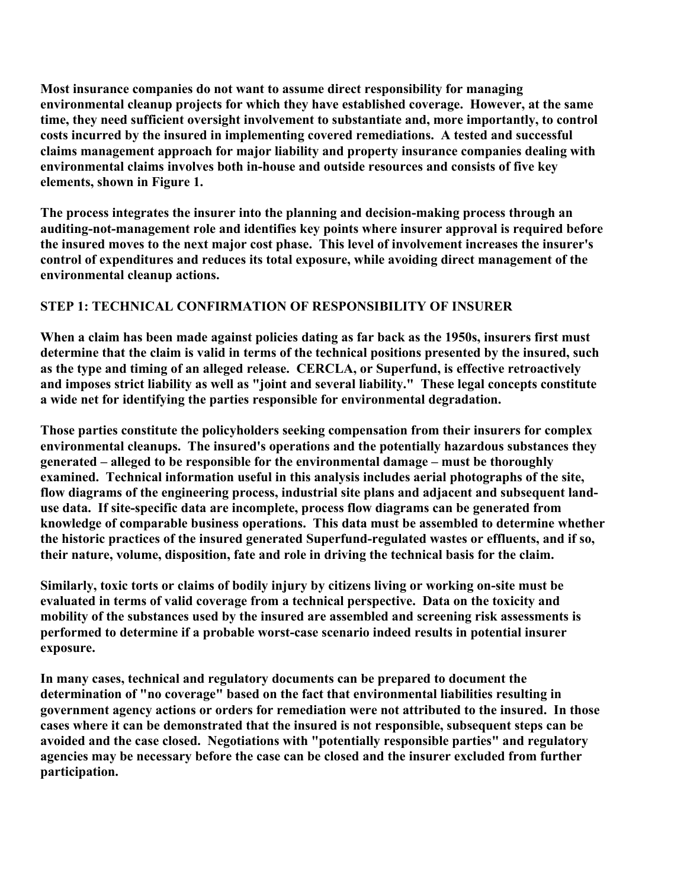**Most insurance companies do not want to assume direct responsibility for managing environmental cleanup projects for which they have established coverage. However, at the same time, they need sufficient oversight involvement to substantiate and, more importantly, to control costs incurred by the insured in implementing covered remediations. A tested and successful claims management approach for major liability and property insurance companies dealing with environmental claims involves both in-house and outside resources and consists of five key elements, shown in Figure 1.** 

**The process integrates the insurer into the planning and decision-making process through an auditing-not-management role and identifies key points where insurer approval is required before the insured moves to the next major cost phase. This level of involvement increases the insurer's control of expenditures and reduces its total exposure, while avoiding direct management of the environmental cleanup actions.** 

# **STEP 1: TECHNICAL CONFIRMATION OF RESPONSIBILITY OF INSURER**

**When a claim has been made against policies dating as far back as the 1950s, insurers first must determine that the claim is valid in terms of the technical positions presented by the insured, such as the type and timing of an alleged release. CERCLA, or Superfund, is effective retroactively and imposes strict liability as well as "joint and several liability." These legal concepts constitute a wide net for identifying the parties responsible for environmental degradation.** 

**Those parties constitute the policyholders seeking compensation from their insurers for complex environmental cleanups. The insured's operations and the potentially hazardous substances they generated – alleged to be responsible for the environmental damage – must be thoroughly examined. Technical information useful in this analysis includes aerial photographs of the site, flow diagrams of the engineering process, industrial site plans and adjacent and subsequent landuse data. If site-specific data are incomplete, process flow diagrams can be generated from knowledge of comparable business operations. This data must be assembled to determine whether the historic practices of the insured generated Superfund-regulated wastes or effluents, and if so, their nature, volume, disposition, fate and role in driving the technical basis for the claim.** 

**Similarly, toxic torts or claims of bodily injury by citizens living or working on-site must be evaluated in terms of valid coverage from a technical perspective. Data on the toxicity and mobility of the substances used by the insured are assembled and screening risk assessments is performed to determine if a probable worst-case scenario indeed results in potential insurer exposure.** 

**In many cases, technical and regulatory documents can be prepared to document the determination of "no coverage" based on the fact that environmental liabilities resulting in government agency actions or orders for remediation were not attributed to the insured. In those cases where it can be demonstrated that the insured is not responsible, subsequent steps can be avoided and the case closed. Negotiations with "potentially responsible parties" and regulatory agencies may be necessary before the case can be closed and the insurer excluded from further participation.**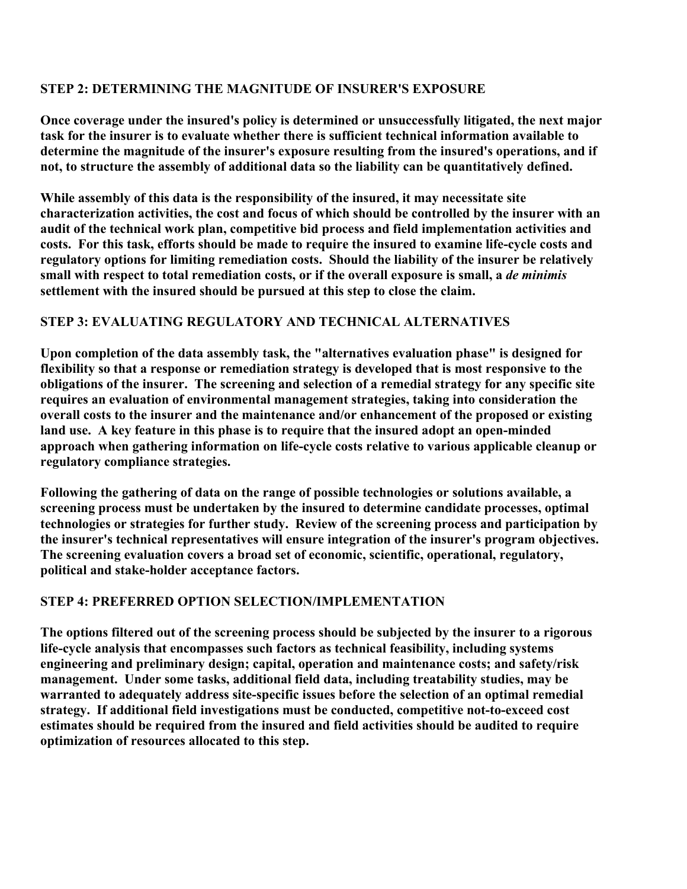## **STEP 2: DETERMINING THE MAGNITUDE OF INSURER'S EXPOSURE**

**Once coverage under the insured's policy is determined or unsuccessfully litigated, the next major task for the insurer is to evaluate whether there is sufficient technical information available to determine the magnitude of the insurer's exposure resulting from the insured's operations, and if not, to structure the assembly of additional data so the liability can be quantitatively defined.** 

**While assembly of this data is the responsibility of the insured, it may necessitate site characterization activities, the cost and focus of which should be controlled by the insurer with an audit of the technical work plan, competitive bid process and field implementation activities and costs. For this task, efforts should be made to require the insured to examine life-cycle costs and regulatory options for limiting remediation costs. Should the liability of the insurer be relatively small with respect to total remediation costs, or if the overall exposure is small, a** *de minimis* **settlement with the insured should be pursued at this step to close the claim.** 

# **STEP 3: EVALUATING REGULATORY AND TECHNICAL ALTERNATIVES**

**Upon completion of the data assembly task, the "alternatives evaluation phase" is designed for flexibility so that a response or remediation strategy is developed that is most responsive to the obligations of the insurer. The screening and selection of a remedial strategy for any specific site requires an evaluation of environmental management strategies, taking into consideration the overall costs to the insurer and the maintenance and/or enhancement of the proposed or existing land use. A key feature in this phase is to require that the insured adopt an open-minded approach when gathering information on life-cycle costs relative to various applicable cleanup or regulatory compliance strategies.** 

**Following the gathering of data on the range of possible technologies or solutions available, a screening process must be undertaken by the insured to determine candidate processes, optimal technologies or strategies for further study. Review of the screening process and participation by the insurer's technical representatives will ensure integration of the insurer's program objectives. The screening evaluation covers a broad set of economic, scientific, operational, regulatory, political and stake-holder acceptance factors.** 

# **STEP 4: PREFERRED OPTION SELECTION/IMPLEMENTATION**

**The options filtered out of the screening process should be subjected by the insurer to a rigorous life-cycle analysis that encompasses such factors as technical feasibility, including systems engineering and preliminary design; capital, operation and maintenance costs; and safety/risk management. Under some tasks, additional field data, including treatability studies, may be warranted to adequately address site-specific issues before the selection of an optimal remedial strategy. If additional field investigations must be conducted, competitive not-to-exceed cost estimates should be required from the insured and field activities should be audited to require optimization of resources allocated to this step.**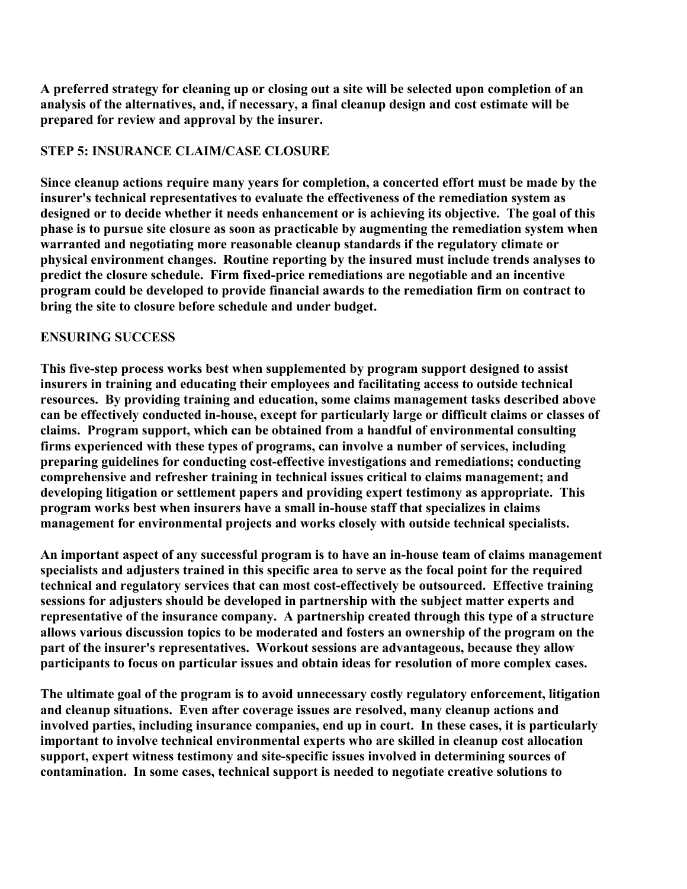**A preferred strategy for cleaning up or closing out a site will be selected upon completion of an analysis of the alternatives, and, if necessary, a final cleanup design and cost estimate will be prepared for review and approval by the insurer.** 

## **STEP 5: INSURANCE CLAIM/CASE CLOSURE**

**Since cleanup actions require many years for completion, a concerted effort must be made by the insurer's technical representatives to evaluate the effectiveness of the remediation system as designed or to decide whether it needs enhancement or is achieving its objective. The goal of this phase is to pursue site closure as soon as practicable by augmenting the remediation system when warranted and negotiating more reasonable cleanup standards if the regulatory climate or physical environment changes. Routine reporting by the insured must include trends analyses to predict the closure schedule. Firm fixed-price remediations are negotiable and an incentive program could be developed to provide financial awards to the remediation firm on contract to bring the site to closure before schedule and under budget.** 

# **ENSURING SUCCESS**

**This five-step process works best when supplemented by program support designed to assist insurers in training and educating their employees and facilitating access to outside technical resources. By providing training and education, some claims management tasks described above can be effectively conducted in-house, except for particularly large or difficult claims or classes of claims. Program support, which can be obtained from a handful of environmental consulting firms experienced with these types of programs, can involve a number of services, including preparing guidelines for conducting cost-effective investigations and remediations; conducting comprehensive and refresher training in technical issues critical to claims management; and developing litigation or settlement papers and providing expert testimony as appropriate. This program works best when insurers have a small in-house staff that specializes in claims management for environmental projects and works closely with outside technical specialists.** 

**An important aspect of any successful program is to have an in-house team of claims management specialists and adjusters trained in this specific area to serve as the focal point for the required technical and regulatory services that can most cost-effectively be outsourced. Effective training sessions for adjusters should be developed in partnership with the subject matter experts and representative of the insurance company. A partnership created through this type of a structure allows various discussion topics to be moderated and fosters an ownership of the program on the part of the insurer's representatives. Workout sessions are advantageous, because they allow participants to focus on particular issues and obtain ideas for resolution of more complex cases.** 

**The ultimate goal of the program is to avoid unnecessary costly regulatory enforcement, litigation and cleanup situations. Even after coverage issues are resolved, many cleanup actions and involved parties, including insurance companies, end up in court. In these cases, it is particularly important to involve technical environmental experts who are skilled in cleanup cost allocation support, expert witness testimony and site-specific issues involved in determining sources of contamination. In some cases, technical support is needed to negotiate creative solutions to**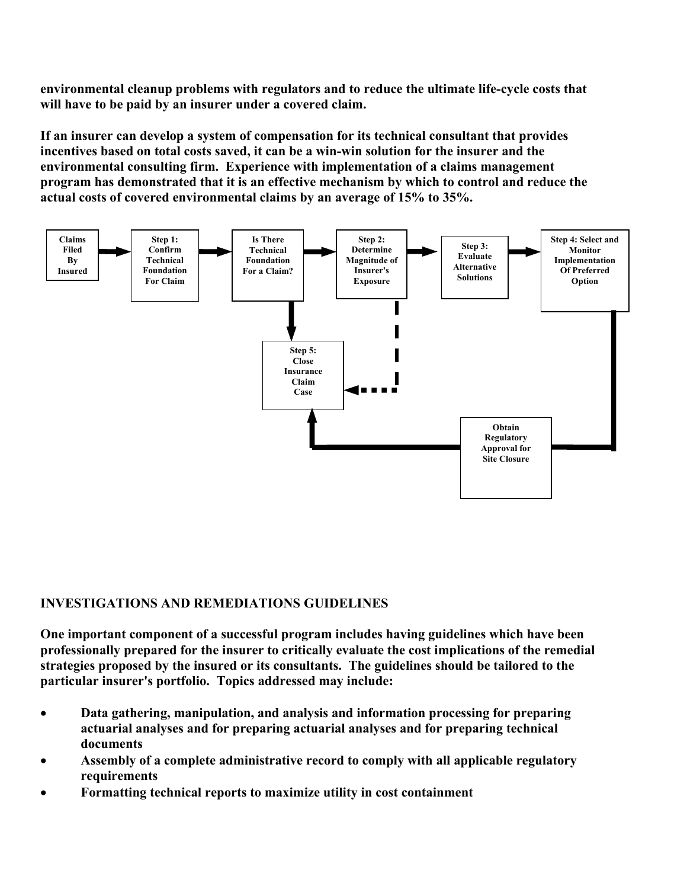**environmental cleanup problems with regulators and to reduce the ultimate life-cycle costs that will have to be paid by an insurer under a covered claim.**

**If an insurer can develop a system of compensation for its technical consultant that provides incentives based on total costs saved, it can be a win-win solution for the insurer and the environmental consulting firm. Experience with implementation of a claims management program has demonstrated that it is an effective mechanism by which to control and reduce the actual costs of covered environmental claims by an average of 15% to 35%.**



## **INVESTIGATIONS AND REMEDIATIONS GUIDELINES**

**One important component of a successful program includes having guidelines which have been professionally prepared for the insurer to critically evaluate the cost implications of the remedial strategies proposed by the insured or its consultants. The guidelines should be tailored to the particular insurer's portfolio. Topics addressed may include:** 

- **Data gathering, manipulation, and analysis and information processing for preparing actuarial analyses and for preparing actuarial analyses and for preparing technical documents**
- **Assembly of a complete administrative record to comply with all applicable regulatory requirements**
- **Formatting technical reports to maximize utility in cost containment**